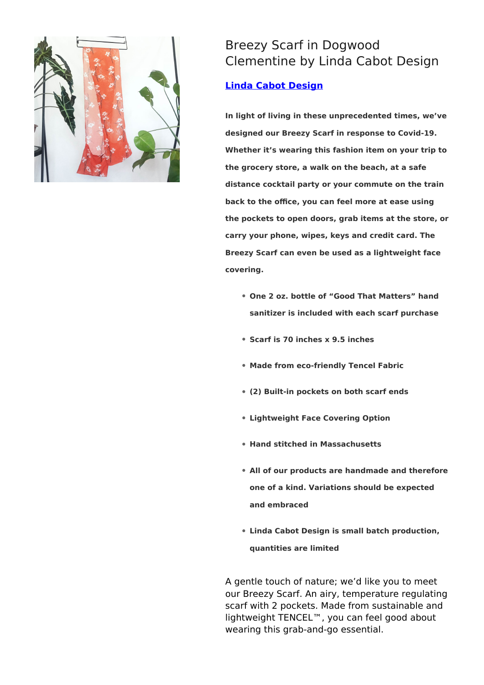

## Breezy Scarf in Dogwood Clementine by Linda Cabot Design

## **[Linda Cabot Design](https://designtrade.net/store/linda-cabot-design/)**

**In light of living in these unprecedented times, we've designed our Breezy Scarf in response to Covid-19. Whether it's wearing this fashion item on your trip to the grocery store, a walk on the beach, at a safe distance cocktail party or your commute on the train back to the office, you can feel more at ease using the pockets to open doors, grab items at the store, or carry your phone, wipes, keys and credit card. The Breezy Scarf can even be used as a lightweight face covering.**

- **One 2 oz. bottle of "Good That Matters" hand sanitizer is included with each scarf purchase**
- **Scarf is 70 inches x 9.5 inches**
- **Made from eco-friendly Tencel Fabric**
- **(2) Built-in pockets on both scarf ends**
- **Lightweight Face Covering Option**
- **Hand stitched in Massachusetts**
- **All of our products are handmade and therefore one of a kind. Variations should be expected and embraced**
- **Linda Cabot Design is small batch production, quantities are limited**

A gentle touch of nature; we'd like you to meet our Breezy Scarf. An airy, temperature regulating scarf with 2 pockets. Made from sustainable and lightweight TENCEL™, you can feel good about wearing this grab-and-go essential.